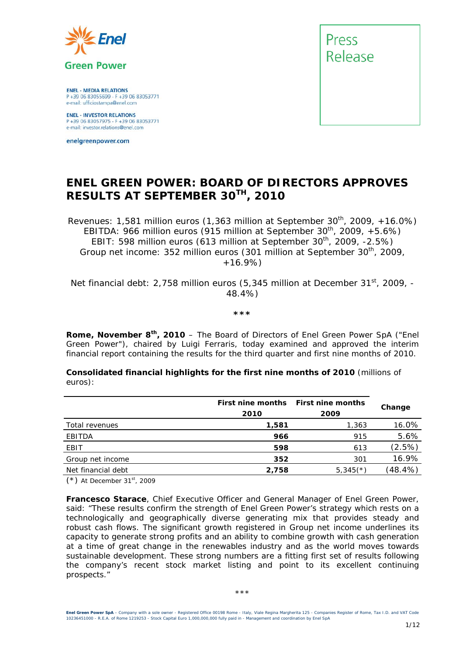

**ENEL - MEDIA RELATIONS** P+39 06 83055699 - F+39 06 83053771 e-mail: ufficiostampa@enel.com

**ENEL - INVESTOR RELATIONS**<br>P +39 06 83057975 - F +39 06 83053771<br>e-mail: investor.relations@enel.com

enelgreenpower.com



### **ENEL GREEN POWER: BOARD OF DIRECTORS APPROVES RESULTS AT SEPTEMBER 30TH, 2010**

*Revenues: 1,581 million euros (1,363 million at September 30th, 2009, +16.0%) EBITDA: 966 million euros (915 million at September 30th, 2009, +5.6%) EBIT: 598 million euros (613 million at September 30<sup>th</sup>, 2009, -2.5%) Group net income: 352 million euros (301 million at September 30th, 2009, +16.9%)* 

*Net financial debt: 2,758 million euros (5,345 million at December 31st, 2009, - 48.4%)* 

*\*\*\** 

**Rome, November 8th, 2010** – The Board of Directors of Enel Green Power SpA ("Enel Green Power"), chaired by Luigi Ferraris, today examined and approved the interim financial report containing the results for the third quarter and first nine months of 2010.

**Consolidated financial highlights for the first nine months of 2010** (millions of euros):

| First nine months<br>2010 | <b>First nine months</b><br>2009 | Change     |
|---------------------------|----------------------------------|------------|
| 1,581                     | 1,363                            | 16.0%      |
| 966                       | 915                              | 5.6%       |
| 598                       | 613                              | (2.5%)     |
| 352                       | 301                              | 16.9%      |
| 2,758                     | $5,345$ <sup>(*)</sup>           | $(48.4\%)$ |
|                           |                                  |            |

(\*) *At December 31st, 2009*

**Francesco Starace**, Chief Executive Officer and General Manager of Enel Green Power, said: "These results confirm the strength of Enel Green Power's strategy which rests on a technologically and geographically diverse generating mix that provides steady and robust cash flows. The significant growth registered in Group net income underlines its capacity to generate strong profits and an ability to combine growth with cash generation at a time of great change in the renewables industry and as the world moves towards sustainable development. These strong numbers are a fitting first set of results following the company's recent stock market listing and point to its excellent continuing prospects."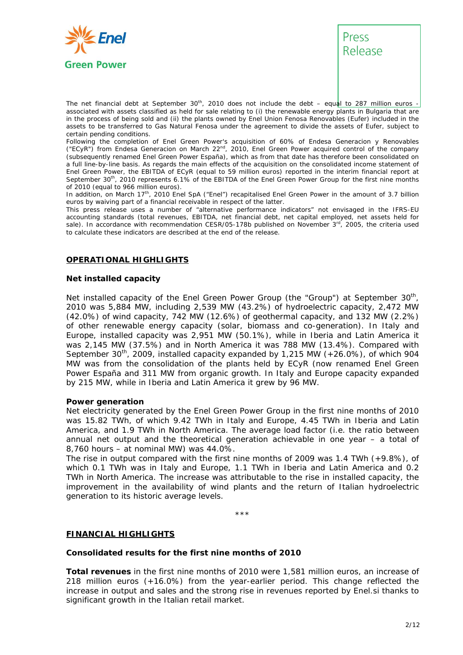



The net financial debt at September 30<sup>th</sup>, 2010 does not include the debt – equal to 287 million euros associated with assets classified as held for sale relating to (i) the renewable energy plants in Bulgaria that are in the process of being sold and (ii) the plants owned by Enel Union Fenosa Renovables (Eufer) included in the assets to be transferred to Gas Natural Fenosa under the agreement to divide the assets of Eufer, subject to certain pending conditions.

Following the completion of Enel Green Power's acquisition of 60% of Endesa Generacion y Renovables ("ECyR") from Endesa Generacion on March 22<sup>nd</sup>, 2010, Enel Green Power acquired control of the company (subsequently renamed Enel Green Power España), which as from that date has therefore been consolidated on a full line-by-line basis. As regards the main effects of the acquisition on the consolidated income statement of Enel Green Power, the EBITDA of ECyR (equal to 59 million euros) reported in the interim financial report at September 30<sup>th</sup>, 2010 represents 6.1% of the EBITDA of the Enel Green Power Group for the first nine months of 2010 (equal to 966 million euros).

In addition, on March 17*th*, 2010 Enel SpA ("Enel") recapitalised Enel Green Power in the amount of 3.7 billion euros by waiving part of a financial receivable in respect of the latter.

This press release uses a number of "alternative performance indicators" not envisaged in the IFRS-EU accounting standards (total revenues, EBITDA, net financial debt, net capital employed, net assets held for sale). In accordance with recommendation CESR/05-178b published on November  $3^{rd}$ , 2005, the criteria used to calculate these indicators are described at the end of the release.

#### **OPERATIONAL HIGHLIGHTS**

#### **Net installed capacity**

Net installed capacity of the Enel Green Power Group (the "Group") at September  $30<sup>th</sup>$ 2010 was 5,884 MW, including 2,539 MW (43.2%) of hydroelectric capacity, 2,472 MW (42.0%) of wind capacity, 742 MW (12.6%) of geothermal capacity, and 132 MW (2.2%) of other renewable energy capacity (solar, biomass and co-generation). In Italy and Europe, installed capacity was 2,951 MW (50.1%), while in Iberia and Latin America it was 2,145 MW (37.5%) and in North America it was 788 MW (13.4%). Compared with September  $30<sup>th</sup>$ , 2009, installed capacity expanded by 1,215 MW (+26.0%), of which 904 MW was from the consolidation of the plants held by ECyR (now renamed Enel Green Power España and 311 MW from organic growth. In Italy and Europe capacity expanded by 215 MW, while in Iberia and Latin America it grew by 96 MW.

#### **Power generation**

Net electricity generated by the Enel Green Power Group in the first nine months of 2010 was 15.82 TWh, of which 9.42 TWh in Italy and Europe, 4.45 TWh in Iberia and Latin America, and 1.9 TWh in North America. The average load factor (i.e. the ratio between annual net output and the theoretical generation achievable in one year – a total of 8,760 hours – at nominal MW) was 44.0%.

The rise in output compared with the first nine months of 2009 was 1.4 TWh (+9.8%), of which 0.1 TWh was in Italy and Europe, 1.1 TWh in Iberia and Latin America and 0.2 TWh in North America. The increase was attributable to the rise in installed capacity, the improvement in the availability of wind plants and the return of Italian hydroelectric generation to its historic average levels.

\*\*\*

#### **FINANCIAL HIGHLIGHTS**

#### **Consolidated results for the first nine months of 2010**

**Total revenues** in the first nine months of 2010 were 1,581 million euros, an increase of 218 million euros (+16.0%) from the year-earlier period. This change reflected the increase in output and sales and the strong rise in revenues reported by Enel.si thanks to significant growth in the Italian retail market.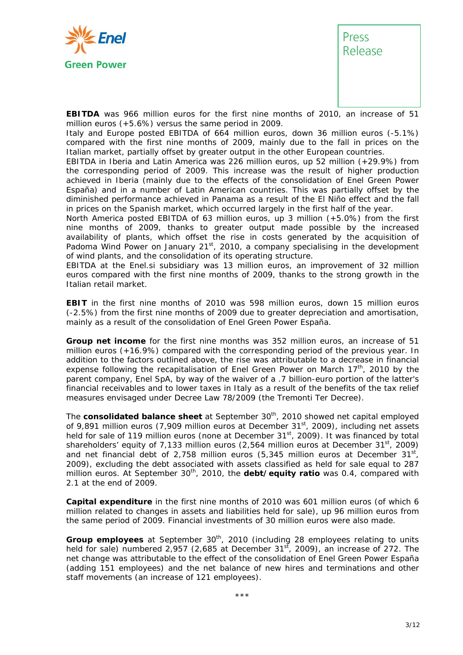



**EBITDA** was 966 million euros for the first nine months of 2010, an increase of 51 million euros (+5.6%) versus the same period in 2009.

Italy and Europe posted EBITDA of 664 million euros, down 36 million euros (-5.1%) compared with the first nine months of 2009, mainly due to the fall in prices on the Italian market, partially offset by greater output in the other European countries.

EBITDA in Iberia and Latin America was 226 million euros, up 52 million (+29.9%) from the corresponding period of 2009. This increase was the result of higher production achieved in Iberia (mainly due to the effects of the consolidation of Enel Green Power España) and in a number of Latin American countries. This was partially offset by the diminished performance achieved in Panama as a result of the El Niño effect and the fall in prices on the Spanish market, which occurred largely in the first half of the year.

North America posted EBITDA of 63 million euros, up 3 million (+5.0%) from the first nine months of 2009, thanks to greater output made possible by the increased availability of plants, which offset the rise in costs generated by the acquisition of Padoma Wind Power on January  $21<sup>st</sup>$ , 2010, a company specialising in the development of wind plants, and the consolidation of its operating structure.

EBITDA at the Enel.si subsidiary was 13 million euros, an improvement of 32 million euros compared with the first nine months of 2009, thanks to the strong growth in the Italian retail market.

**EBIT** in the first nine months of 2010 was 598 million euros, down 15 million euros (-2.5%) from the first nine months of 2009 due to greater depreciation and amortisation, mainly as a result of the consolidation of Enel Green Power España.

**Group net income** for the first nine months was 352 million euros, an increase of 51 million euros (+16.9%) compared with the corresponding period of the previous year. In addition to the factors outlined above, the rise was attributable to a decrease in financial expense following the recapitalisation of Enel Green Power on March 17<sup>th</sup>, 2010 by the parent company, Enel SpA, by way of the waiver of a .7 billion-euro portion of the latter's financial receivables and to lower taxes in Italy as a result of the benefits of the tax relief measures envisaged under Decree Law 78/2009 (the Tremonti Ter Decree).

The **consolidated balance sheet** at September 30th, 2010 showed net capital employed of 9,891 million euros (7,909 million euros at December 31<sup>st</sup>, 2009), including net assets held for sale of 119 million euros (none at December 31<sup>st</sup>, 2009). It was financed by total shareholders' equity of 7,133 million euros  $(2,564$  million euros at December 31<sup>st</sup>, 2009) and net financial debt of 2,758 million euros (5,345 million euros at December 31st, 2009), excluding the debt associated with assets classified as held for sale equal to 287 million euros. At September 30<sup>th</sup>, 2010, the **debt/equity ratio** was 0.4, compared with 2.1 at the end of 2009.

**Capital expenditure** in the first nine months of 2010 was 601 million euros (of which 6 million related to changes in assets and liabilities held for sale), up 96 million euros from the same period of 2009. Financial investments of 30 million euros were also made.

**Group employees** at September 30<sup>th</sup>, 2010 (including 28 employees relating to units held for sale) numbered 2,957 (2,685 at December  $31<sup>st</sup>$ , 2009), an increase of 272. The net change was attributable to the effect of the consolidation of Enel Green Power España (adding 151 employees) and the net balance of new hires and terminations and other staff movements (an increase of 121 employees).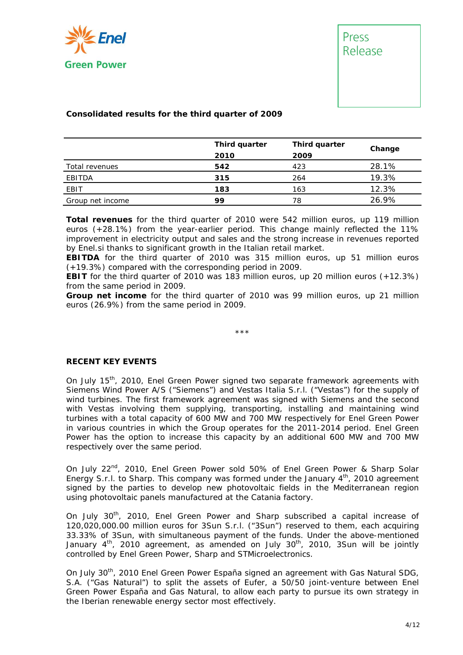



#### **Consolidated results for the third quarter of 2009**

|                  | Third quarter | Third quarter | Change |
|------------------|---------------|---------------|--------|
|                  | 2010          | 2009          |        |
| Total revenues   | 542           | 423           | 28.1%  |
| EBITDA           | 315           | 264           | 19.3%  |
| EBIT             | 183           | 163           | 12.3%  |
| Group net income | 99            | 78            | 26.9%  |

**Total revenues** for the third quarter of 2010 were 542 million euros, up 119 million euros (+28.1%) from the year-earlier period. This change mainly reflected the 11% improvement in electricity output and sales and the strong increase in revenues reported by Enel.si thanks to significant growth in the Italian retail market.

**EBITDA** for the third quarter of 2010 was 315 million euros, up 51 million euros (+19.3%) compared with the corresponding period in 2009.

**EBIT** for the third quarter of 2010 was 183 million euros, up 20 million euros (+12.3%) from the same period in 2009.

**Group net income** for the third quarter of 2010 was 99 million euros, up 21 million euros (26.9%) from the same period in 2009.

\*\*\*

#### **RECENT KEY EVENTS**

On July 15<sup>th</sup>, 2010, Enel Green Power signed two separate framework agreements with Siemens Wind Power A/S ("Siemens") and Vestas Italia S.r.l. ("Vestas") for the supply of wind turbines. The first framework agreement was signed with Siemens and the second with Vestas involving them supplying, transporting, installing and maintaining wind turbines with a total capacity of 600 MW and 700 MW respectively for Enel Green Power in various countries in which the Group operates for the 2011-2014 period. Enel Green Power has the option to increase this capacity by an additional 600 MW and 700 MW respectively over the same period.

On July 22<sup>nd</sup>, 2010, Enel Green Power sold 50% of Enel Green Power & Sharp Solar Energy S.r.l. to Sharp. This company was formed under the January  $4<sup>th</sup>$ , 2010 agreement signed by the parties to develop new photovoltaic fields in the Mediterranean region using photovoltaic panels manufactured at the Catania factory.

On July 30th, 2010, Enel Green Power and Sharp subscribed a capital increase of 120,020,000.00 million euros for 3Sun S.r.l. ("3Sun") reserved to them, each acquiring 33.33% of 3Sun, with simultaneous payment of the funds. Under the above-mentioned January  $4<sup>th</sup>$ , 2010 agreement, as amended on July 30<sup>th</sup>, 2010, 3Sun will be jointly controlled by Enel Green Power, Sharp and STMicroelectronics.

On July 30<sup>th</sup>, 2010 Enel Green Power España signed an agreement with Gas Natural SDG, S.A. ("Gas Natural") to split the assets of Eufer, a 50/50 joint-venture between Enel Green Power España and Gas Natural, to allow each party to pursue its own strategy in the Iberian renewable energy sector most effectively.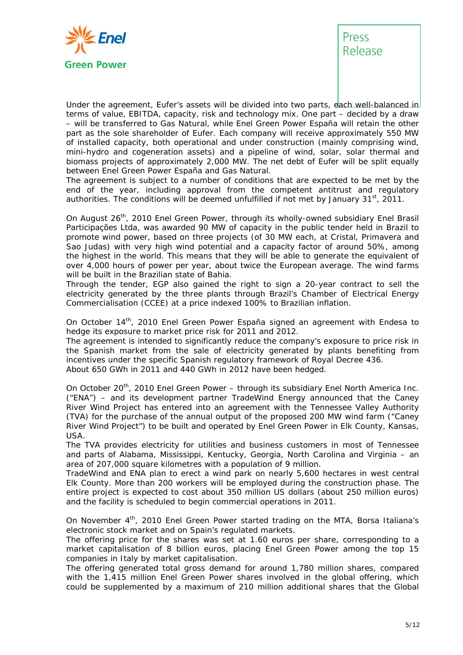

# Press Release

Under the agreement, Eufer's assets will be divided into two parts, each well-balanced in terms of value, EBITDA, capacity, risk and technology mix. One part – decided by a draw – will be transferred to Gas Natural, while Enel Green Power España will retain the other part as the sole shareholder of Eufer. Each company will receive approximately 550 MW of installed capacity, both operational and under construction (mainly comprising wind, mini-hydro and cogeneration assets) and a pipeline of wind, solar, solar thermal and biomass projects of approximately 2,000 MW. The net debt of Eufer will be split equally between Enel Green Power España and Gas Natural.

The agreement is subject to a number of conditions that are expected to be met by the end of the year, including approval from the competent antitrust and regulatory authorities. The conditions will be deemed unfulfilled if not met by January  $31<sup>st</sup>$ , 2011.

On August 26<sup>th</sup>, 2010 Enel Green Power, through its wholly-owned subsidiary Enel Brasil Participações Ltda, was awarded 90 MW of capacity in the public tender held in Brazil to promote wind power, based on three projects (of 30 MW each, at Cristal, Primavera and Sao Judas) with very high wind potential and a capacity factor of around 50%, among the highest in the world. This means that they will be able to generate the equivalent of over 4,000 hours of power per year, about twice the European average. The wind farms will be built in the Brazilian state of Bahia.

Through the tender, EGP also gained the right to sign a 20-year contract to sell the electricity generated by the three plants through Brazil's Chamber of Electrical Energy Commercialisation (CCEE) at a price indexed 100% to Brazilian inflation.

On October 14<sup>th</sup>, 2010 Enel Green Power España signed an agreement with Endesa to hedge its exposure to market price risk for 2011 and 2012.

The agreement is intended to significantly reduce the company's exposure to price risk in the Spanish market from the sale of electricity generated by plants benefiting from incentives under the specific Spanish regulatory framework of Royal Decree 436. About 650 GWh in 2011 and 440 GWh in 2012 have been hedged.

On October 20<sup>th</sup>, 2010 Enel Green Power - through its subsidiary Enel North America Inc. ("ENA") – and its development partner TradeWind Energy announced that the Caney River Wind Project has entered into an agreement with the Tennessee Valley Authority (TVA) for the purchase of the annual output of the proposed 200 MW wind farm ("Caney River Wind Project") to be built and operated by Enel Green Power in Elk County, Kansas, USA.

The TVA provides electricity for utilities and business customers in most of Tennessee and parts of Alabama, Mississippi, Kentucky, Georgia, North Carolina and Virginia – an area of 207,000 square kilometres with a population of 9 million.

TradeWind and ENA plan to erect a wind park on nearly 5,600 hectares in west central Elk County. More than 200 workers will be employed during the construction phase. The entire project is expected to cost about 350 million US dollars (about 250 million euros) and the facility is scheduled to begin commercial operations in 2011.

On November 4<sup>th</sup>, 2010 Enel Green Power started trading on the MTA, Borsa Italiana's electronic stock market and on Spain's regulated markets.

The offering price for the shares was set at 1.60 euros per share, corresponding to a market capitalisation of 8 billion euros, placing Enel Green Power among the top 15 companies in Italy by market capitalisation.

The offering generated total gross demand for around 1,780 million shares, compared with the 1,415 million Enel Green Power shares involved in the global offering, which could be supplemented by a maximum of 210 million additional shares that the Global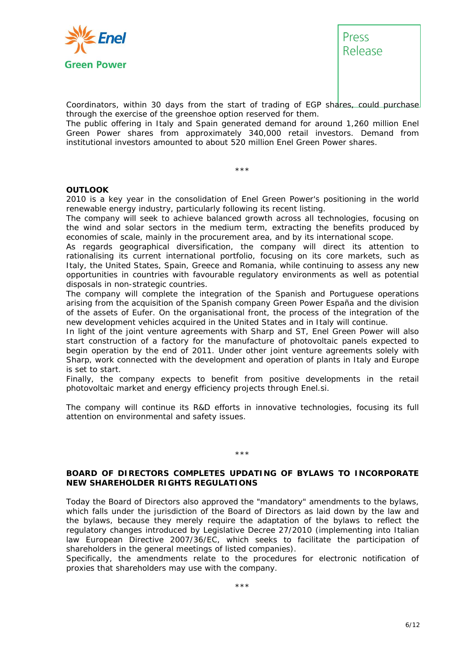



Coordinators, within 30 days from the start of trading of EGP shares, could purchase through the exercise of the greenshoe option reserved for them.

The public offering in Italy and Spain generated demand for around 1,260 million Enel Green Power shares from approximately 340,000 retail investors. Demand from institutional investors amounted to about 520 million Enel Green Power shares.

#### **OUTLOOK**

2010 is a key year in the consolidation of Enel Green Power's positioning in the world renewable energy industry, particularly following its recent listing.

\*\*\*

The company will seek to achieve balanced growth across all technologies, focusing on the wind and solar sectors in the medium term, extracting the benefits produced by economies of scale, mainly in the procurement area, and by its international scope.

As regards geographical diversification, the company will direct its attention to rationalising its current international portfolio, focusing on its core markets, such as Italy, the United States, Spain, Greece and Romania, while continuing to assess any new opportunities in countries with favourable regulatory environments as well as potential disposals in non-strategic countries.

The company will complete the integration of the Spanish and Portuguese operations arising from the acquisition of the Spanish company Green Power España and the division of the assets of Eufer. On the organisational front, the process of the integration of the new development vehicles acquired in the United States and in Italy will continue.

In light of the joint venture agreements with Sharp and ST, Enel Green Power will also start construction of a factory for the manufacture of photovoltaic panels expected to begin operation by the end of 2011. Under other joint venture agreements solely with Sharp, work connected with the development and operation of plants in Italy and Europe is set to start.

Finally, the company expects to benefit from positive developments in the retail photovoltaic market and energy efficiency projects through Enel.si.

The company will continue its R&D efforts in innovative technologies, focusing its full attention on environmental and safety issues.

#### \*\*\*

#### **BOARD OF DIRECTORS COMPLETES UPDATING OF BYLAWS TO INCORPORATE NEW SHAREHOLDER RIGHTS REGULATIONS**

Today the Board of Directors also approved the "mandatory" amendments to the bylaws, which falls under the jurisdiction of the Board of Directors as laid down by the law and the bylaws, because they merely require the adaptation of the bylaws to reflect the regulatory changes introduced by Legislative Decree 27/2010 (implementing into Italian law European Directive 2007/36/EC, which seeks to facilitate the participation of shareholders in the general meetings of listed companies).

Specifically, the amendments relate to the procedures for electronic notification of proxies that shareholders may use with the company.

\*\*\*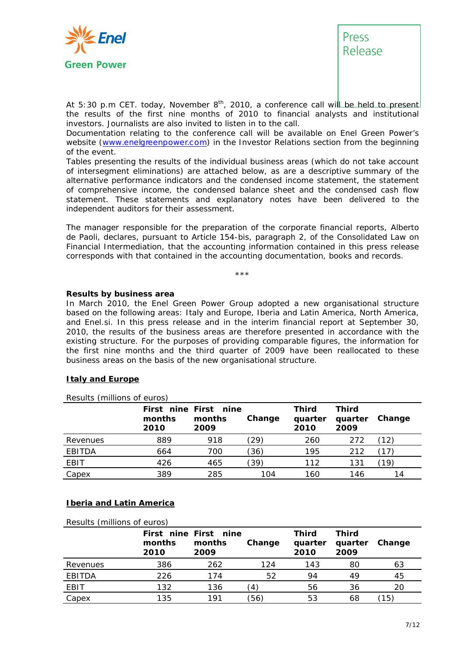



*At 5:30 p.m CET. today, November 8th, 2010, a conference call will be held to present the results of the first nine months of 2010 to financial analysts and institutional investors. Journalists are also invited to listen in to the call.* 

*Documentation relating to the conference call will be available on Enel Green Power's website (www.enelgreenpower.com) in the Investor Relations section from the beginning of the event.* 

*Tables presenting the results of the individual business areas (which do not take account of intersegment eliminations) are attached below, as are a descriptive summary of the alternative performance indicators and the condensed income statement, the statement of comprehensive income, the condensed balance sheet and the condensed cash flow statement. These statements and explanatory notes have been delivered to the independent auditors for their assessment.* 

*The manager responsible for the preparation of the corporate financial reports, Alberto de Paoli, declares, pursuant to Article 154-bis, paragraph 2, of the Consolidated Law on Financial Intermediation, that the accounting information contained in this press release corresponds with that contained in the accounting documentation, books and records.* 

\*\*\*

#### **Results by business area**

In March 2010, the Enel Green Power Group adopted a new organisational structure based on the following areas: Italy and Europe, Iberia and Latin America, North America, and Enel.si. In this press release and in the interim financial report at September 30, 2010, the results of the business areas are therefore presented in accordance with the existing structure. For the purposes of providing comparable figures, the information for the first nine months and the third quarter of 2009 have been reallocated to these business areas on the basis of the new organisational structure.

#### **Italy and Europe**

|               | months<br>2010 | First nine First nine<br>months<br>2009 | Change         | <b>Third</b><br>quarter<br>2010 | <b>Third</b><br>quarter<br>2009 | Change |
|---------------|----------------|-----------------------------------------|----------------|---------------------------------|---------------------------------|--------|
| Revenues      | 889            | 918                                     | $^{\prime}29)$ | 260                             | 272                             |        |
| <b>EBITDA</b> | 664            | 700                                     | (36)           | 195                             | 212                             |        |
| <b>EBIT</b>   | 426            | 465                                     | (39)           | 112                             | 131                             | 19     |
| Capex         | 389            | 285                                     | 104            | 160                             | 146                             | 14     |

#### **Iberia and Latin America**

*Results (millions of euros)* 

|          | months<br>2010 | First nine First nine<br>months<br>2009 | Change | <b>Third</b><br>quarter<br>2010 | <b>Third</b><br>quarter<br>2009 | Change |
|----------|----------------|-----------------------------------------|--------|---------------------------------|---------------------------------|--------|
| Revenues | 386            | 262                                     | 124    | 143                             | 80                              | 63     |
| EBITDA   | 226            | 174                                     | 52     | 94                              | 49                              | 45     |
| EBIT     | 132            | 136                                     |        | 56                              | 36                              | 20     |
| Capex    | 135            | 191                                     | (56)   | 53                              | 68                              | 15`    |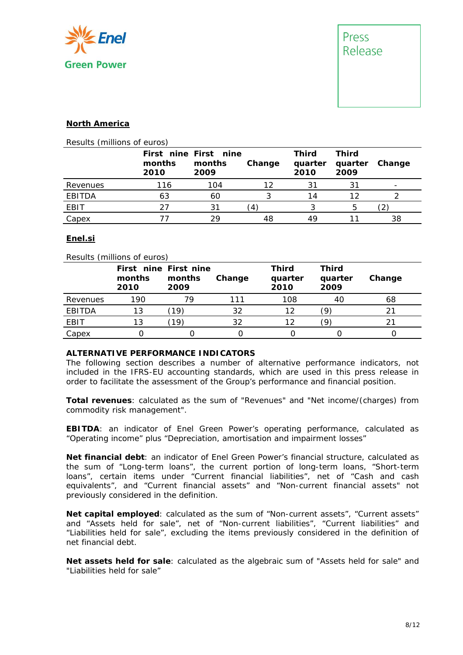

#### **North America**

|  |  | Results (millions of euros) |
|--|--|-----------------------------|
|--|--|-----------------------------|

|               | months<br>2010 | First nine First nine<br>months<br>2009 | Change | Third<br>quarter<br>2010 | <b>Third</b><br>quarter<br>2009 | Change                   |
|---------------|----------------|-----------------------------------------|--------|--------------------------|---------------------------------|--------------------------|
| Revenues      | 116            | 104                                     | 12     | 31                       | 31                              | $\overline{\phantom{0}}$ |
| <b>EBITDA</b> | 63             | 60                                      |        | 14                       | 1つ                              |                          |
| EBIT          | 27             | 31                                      |        |                          | 5                               |                          |
| Capex         |                | つロ                                      | 48     | 49                       |                                 | 38                       |

#### **Enel.si**

#### *Results (millions of euros)*

|             | First nine First nine<br>months<br>2010 | months<br>2009 | Change | <b>Third</b><br>quarter<br>2010 | <b>Third</b><br>quarter<br>2009 | Change |
|-------------|-----------------------------------------|----------------|--------|---------------------------------|---------------------------------|--------|
| Revenues    | 190                                     | 79             | 111    | 108                             | 40                              | 68     |
| EBITDA      | 13                                      | 19             | 32     | 12                              |                                 |        |
| <b>EBIT</b> | 13                                      | 19             | 32     | 12                              |                                 |        |
| Capex       |                                         |                |        |                                 |                                 |        |

#### **ALTERNATIVE PERFORMANCE INDICATORS**

The following section describes a number of alternative performance indicators, not included in the IFRS-EU accounting standards, which are used in this press release in order to facilitate the assessment of the Group's performance and financial position.

**Total revenues**: calculated as the sum of "Revenues" and "Net income/(charges) from commodity risk management".

**EBITDA**: an indicator of Enel Green Power's operating performance, calculated as "Operating income" plus "Depreciation, amortisation and impairment losses"

**Net financial debt**: an indicator of Enel Green Power's financial structure, calculated as the sum of "Long-term loans", the current portion of long-term loans, "Short-term loans", certain items under "Current financial liabilities", net of "Cash and cash equivalents", and "Current financial assets" and "Non-current financial assets" not previously considered in the definition.

**Net capital employed**: calculated as the sum of "Non-current assets", "Current assets" and "Assets held for sale", net of "Non-current liabilities", "Current liabilities" and "Liabilities held for sale", excluding the items previously considered in the definition of net financial debt.

**Net assets held for sale**: calculated as the algebraic sum of "Assets held for sale" and "Liabilities held for sale"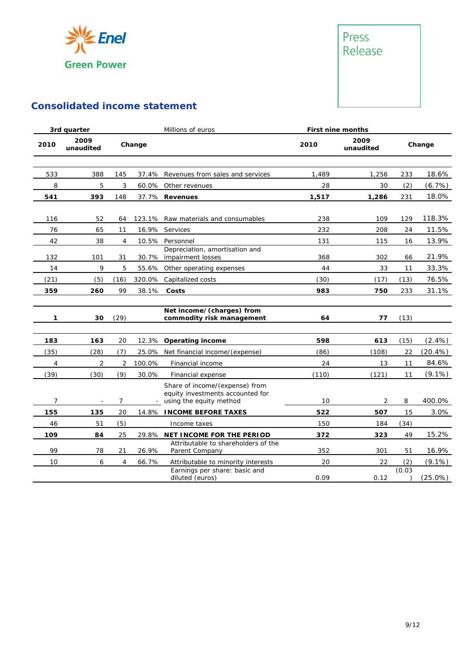



## **Consolidated income statement**

|      | 3rd quarter       | Millions of euros<br>First nine months |        |                                                                                               |       |                   |        |            |
|------|-------------------|----------------------------------------|--------|-----------------------------------------------------------------------------------------------|-------|-------------------|--------|------------|
| 2010 | 2009<br>unaudited |                                        | Change |                                                                                               | 2010  | 2009<br>unaudited |        | Change     |
| 533  | 388               | 145                                    | 37.4%  | Revenues from sales and services                                                              | 1,489 | 1,256             | 233    | 18.6%      |
| 8    | 5                 | 3                                      | 60.0%  | Other revenues                                                                                | 28    | 30                | (2)    | (6.7%)     |
| 541  | 393               | 148                                    | 37.7%  | <b>Revenues</b>                                                                               | 1,517 | 1,286             | 231    | 18.0%      |
| 116  | 52                | 64                                     |        | 123.1% Raw materials and consumables                                                          | 238   | 109               | 129    | 118.3%     |
| 76   | 65                | 11                                     | 16.9%  | Services                                                                                      | 232   | 208               | 24     | 11.5%      |
| 42   | 38                | $\overline{4}$                         | 10.5%  | Personnel                                                                                     | 131   | 115               | 16     | 13.9%      |
| 132  | 101               | 31                                     | 30.7%  | Depreciation, amortisation and<br>impairment losses                                           | 368   | 302               | 66     | 21.9%      |
| 14   | 9                 | 5                                      | 55.6%  | Other operating expenses                                                                      | 44    | 33                | 11     | 33.3%      |
| (21) | (5)               | (16)                                   | 320.0% | Capitalized costs                                                                             | (30)  | (17)              | (13)   | 76.5%      |
| 359  | 260               | 99                                     | 38.1%  | Costs                                                                                         | 983   | 750               | 233    | 31.1%      |
| 1    | 30                | (29)                                   |        | Net income/(charges) from<br>commodity risk management                                        | 64    | 77                | (13)   |            |
| 183  | 163               | 20                                     | 12.3%  | <b>Operating income</b>                                                                       | 598   | 613               | (15)   | $(2.4\%)$  |
| (35) | (28)              | (7)                                    | 25.0%  | Net financial income/(expense)                                                                | (86)  | (108)             | 22     | $(20.4\%)$ |
| 4    | $\overline{2}$    | $\overline{2}$                         | 100.0% | Financial income                                                                              | 24    | 13                | 11     | 84.6%      |
| (39) | (30)              | (9)                                    | 30.0%  | Financial expense                                                                             | (110) | (121)             | 11     | $(9.1\%)$  |
| 7    |                   | 7                                      |        | Share of income/(expense) from<br>equity investments accounted for<br>using the equity method | 10    | $\overline{2}$    | 8      | 400.0%     |
| 155  | 135               | 20                                     |        | 14.8% INCOME BEFORE TAXES                                                                     | 522   | 507               | 15     | 3.0%       |
| 46   | 51                | (5)                                    |        | Income taxes                                                                                  | 150   | 184               | (34)   |            |
| 109  | 84                | 25                                     |        | 29.8% NET INCOME FOR THE PERIOD                                                               | 372   | 323               | 49     | 15.2%      |
| 99   | 78                | 21                                     | 26.9%  | Attributable to shareholders of the<br>Parent Company                                         | 352   | 301               | 51     | 16.9%      |
| 10   | 6                 | 4                                      | 66.7%  | Attributable to minority interests                                                            | 20    | 22                | (2)    | $(9.1\%)$  |
|      |                   |                                        |        | Earnings per share: basic and<br>diluted (euros)                                              | 0.09  | 0.12              | (0.03) | (25.0%)    |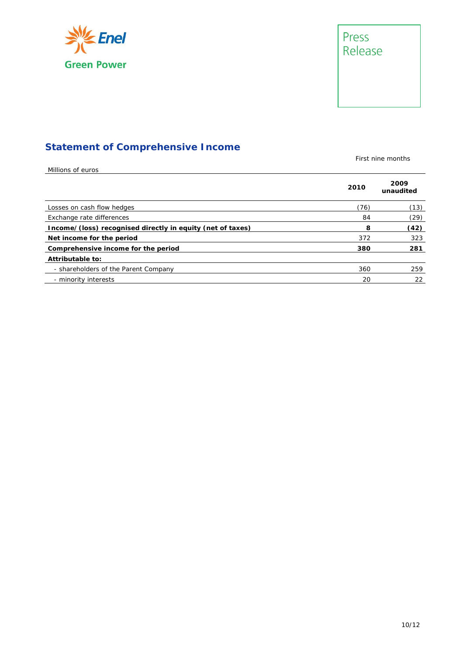



### **Statement of Comprehensive Income**

First nine months

| Millions of euros                                          |      |                   |
|------------------------------------------------------------|------|-------------------|
|                                                            | 2010 | 2009<br>unaudited |
| Losses on cash flow hedges                                 | (76) | (13)              |
| Exchange rate differences                                  | 84   | (29)              |
| Income/(loss) recognised directly in equity (net of taxes) | 8    | (42)              |
| Net income for the period                                  | 372  | 323               |
| Comprehensive income for the period                        | 380  | 281               |
| Attributable to:                                           |      |                   |
| - shareholders of the Parent Company                       | 360  | 259               |
| - minority interests                                       | 20   | 22                |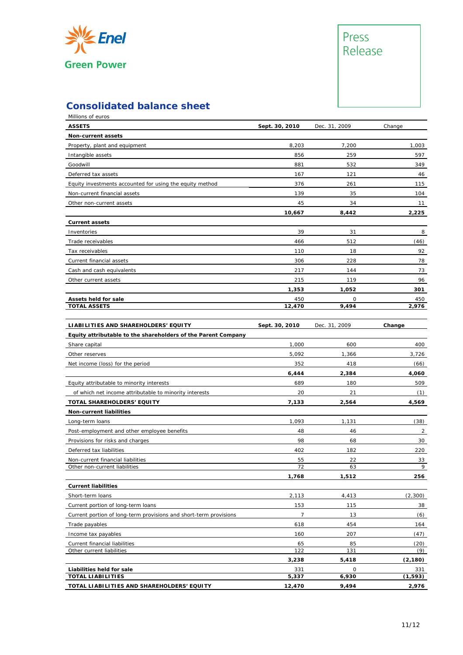

# Press Release

### **Consolidated balance sheet**

| <b>ASSETS</b><br>Sept. 30, 2010<br>Dec. 31, 2009<br>Change<br>Non-current assets<br>8,203<br>7,200<br>1,003<br>Property, plant and equipment<br>856<br>259<br>597<br>Intangible assets<br>881<br>532<br>349<br>Goodwill<br>46<br>Deferred tax assets<br>167<br>121<br>Equity investments accounted for using the equity method<br>376<br>261<br>115<br>139<br>35<br>Non-current financial assets<br>104<br>45<br>34<br>11<br>Other non-current assets<br>10,667<br>8,442<br>2,225<br><b>Current assets</b><br>39<br>8<br>31<br>Inventories<br>512<br>466<br>(46)<br>Trade receivables<br>110<br>18<br>92<br>Tax receivables<br>78<br>Current financial assets<br>306<br>228<br>Cash and cash equivalents<br>217<br>144<br>73<br>119<br>96<br>215<br>Other current assets<br>1,353<br>1,052<br>301<br>Assets held for sale<br>450<br>0<br>450<br>9,494<br><b>TOTAL ASSETS</b><br>12,470<br>2,976<br>LIABILITIES AND SHAREHOLDERS' EQUITY<br>Sept. 30, 2010<br>Dec. 31, 2009<br>Change<br>Equity attributable to the shareholders of the Parent Company<br>Share capital<br>1,000<br>600<br>400<br>5,092<br>Other reserves<br>1,366<br>3,726<br>Net income (loss) for the period<br>352<br>418<br>(66)<br>6,444<br>2,384<br>4,060<br>689<br>180<br>509<br>Equity attributable to minority interests<br>20<br>21<br>(1)<br>of which net income attributable to minority interests<br>TOTAL SHAREHOLDERS' EQUITY<br>7,133<br>2,564<br>4,569<br>Non-current liabilities<br>1,093<br>(38)<br>Long-term loans<br>1,131<br>Post-employment and other employee benefits<br>48<br>46<br>2<br>98<br>68<br>30<br>Provisions for risks and charges<br>Deferred tax liabilities<br>402<br>182<br>220<br>22<br>Non-current financial liabilities<br>55<br>33<br>72<br>Other non-current liabilities<br>63<br>256<br>1,768<br>1,512<br><b>Current liabilities</b><br>(2,300)<br>2,113<br>4,413<br>Short-term loans<br>153<br>115<br>38<br>Current portion of long-term loans<br>$\overline{7}$<br>13<br>(6)<br>Current portion of long-term provisions and short-term provisions<br>454<br>Trade payables<br>618<br>164<br>207<br>Income tax payables<br>160<br>(47)<br>65<br>85<br>Current financial liabilities<br>(20)<br>122<br>131<br>Other current liabilities<br>(9)<br>3,238<br>5,418<br>(2, 180)<br>$\mathsf O$<br>Liabilities held for sale<br>331<br>331<br><b>TOTAL LIABILITIES</b><br>5,337<br>6,930<br>(1, 593) | Millions of euros                          |        |       |       |
|---------------------------------------------------------------------------------------------------------------------------------------------------------------------------------------------------------------------------------------------------------------------------------------------------------------------------------------------------------------------------------------------------------------------------------------------------------------------------------------------------------------------------------------------------------------------------------------------------------------------------------------------------------------------------------------------------------------------------------------------------------------------------------------------------------------------------------------------------------------------------------------------------------------------------------------------------------------------------------------------------------------------------------------------------------------------------------------------------------------------------------------------------------------------------------------------------------------------------------------------------------------------------------------------------------------------------------------------------------------------------------------------------------------------------------------------------------------------------------------------------------------------------------------------------------------------------------------------------------------------------------------------------------------------------------------------------------------------------------------------------------------------------------------------------------------------------------------------------------------------------------------------------------------------------------------------------------------------------------------------------------------------------------------------------------------------------------------------------------------------------------------------------------------------------------------------------------------------------------------------------------------------------------------------------------------------------------------------------------------------------------------------------------------|--------------------------------------------|--------|-------|-------|
|                                                                                                                                                                                                                                                                                                                                                                                                                                                                                                                                                                                                                                                                                                                                                                                                                                                                                                                                                                                                                                                                                                                                                                                                                                                                                                                                                                                                                                                                                                                                                                                                                                                                                                                                                                                                                                                                                                                                                                                                                                                                                                                                                                                                                                                                                                                                                                                                               |                                            |        |       |       |
|                                                                                                                                                                                                                                                                                                                                                                                                                                                                                                                                                                                                                                                                                                                                                                                                                                                                                                                                                                                                                                                                                                                                                                                                                                                                                                                                                                                                                                                                                                                                                                                                                                                                                                                                                                                                                                                                                                                                                                                                                                                                                                                                                                                                                                                                                                                                                                                                               |                                            |        |       |       |
|                                                                                                                                                                                                                                                                                                                                                                                                                                                                                                                                                                                                                                                                                                                                                                                                                                                                                                                                                                                                                                                                                                                                                                                                                                                                                                                                                                                                                                                                                                                                                                                                                                                                                                                                                                                                                                                                                                                                                                                                                                                                                                                                                                                                                                                                                                                                                                                                               |                                            |        |       |       |
| 9                                                                                                                                                                                                                                                                                                                                                                                                                                                                                                                                                                                                                                                                                                                                                                                                                                                                                                                                                                                                                                                                                                                                                                                                                                                                                                                                                                                                                                                                                                                                                                                                                                                                                                                                                                                                                                                                                                                                                                                                                                                                                                                                                                                                                                                                                                                                                                                                             |                                            |        |       |       |
|                                                                                                                                                                                                                                                                                                                                                                                                                                                                                                                                                                                                                                                                                                                                                                                                                                                                                                                                                                                                                                                                                                                                                                                                                                                                                                                                                                                                                                                                                                                                                                                                                                                                                                                                                                                                                                                                                                                                                                                                                                                                                                                                                                                                                                                                                                                                                                                                               |                                            |        |       |       |
|                                                                                                                                                                                                                                                                                                                                                                                                                                                                                                                                                                                                                                                                                                                                                                                                                                                                                                                                                                                                                                                                                                                                                                                                                                                                                                                                                                                                                                                                                                                                                                                                                                                                                                                                                                                                                                                                                                                                                                                                                                                                                                                                                                                                                                                                                                                                                                                                               |                                            |        |       |       |
|                                                                                                                                                                                                                                                                                                                                                                                                                                                                                                                                                                                                                                                                                                                                                                                                                                                                                                                                                                                                                                                                                                                                                                                                                                                                                                                                                                                                                                                                                                                                                                                                                                                                                                                                                                                                                                                                                                                                                                                                                                                                                                                                                                                                                                                                                                                                                                                                               |                                            |        |       |       |
|                                                                                                                                                                                                                                                                                                                                                                                                                                                                                                                                                                                                                                                                                                                                                                                                                                                                                                                                                                                                                                                                                                                                                                                                                                                                                                                                                                                                                                                                                                                                                                                                                                                                                                                                                                                                                                                                                                                                                                                                                                                                                                                                                                                                                                                                                                                                                                                                               |                                            |        |       |       |
|                                                                                                                                                                                                                                                                                                                                                                                                                                                                                                                                                                                                                                                                                                                                                                                                                                                                                                                                                                                                                                                                                                                                                                                                                                                                                                                                                                                                                                                                                                                                                                                                                                                                                                                                                                                                                                                                                                                                                                                                                                                                                                                                                                                                                                                                                                                                                                                                               |                                            |        |       |       |
|                                                                                                                                                                                                                                                                                                                                                                                                                                                                                                                                                                                                                                                                                                                                                                                                                                                                                                                                                                                                                                                                                                                                                                                                                                                                                                                                                                                                                                                                                                                                                                                                                                                                                                                                                                                                                                                                                                                                                                                                                                                                                                                                                                                                                                                                                                                                                                                                               |                                            |        |       |       |
|                                                                                                                                                                                                                                                                                                                                                                                                                                                                                                                                                                                                                                                                                                                                                                                                                                                                                                                                                                                                                                                                                                                                                                                                                                                                                                                                                                                                                                                                                                                                                                                                                                                                                                                                                                                                                                                                                                                                                                                                                                                                                                                                                                                                                                                                                                                                                                                                               |                                            |        |       |       |
|                                                                                                                                                                                                                                                                                                                                                                                                                                                                                                                                                                                                                                                                                                                                                                                                                                                                                                                                                                                                                                                                                                                                                                                                                                                                                                                                                                                                                                                                                                                                                                                                                                                                                                                                                                                                                                                                                                                                                                                                                                                                                                                                                                                                                                                                                                                                                                                                               |                                            |        |       |       |
|                                                                                                                                                                                                                                                                                                                                                                                                                                                                                                                                                                                                                                                                                                                                                                                                                                                                                                                                                                                                                                                                                                                                                                                                                                                                                                                                                                                                                                                                                                                                                                                                                                                                                                                                                                                                                                                                                                                                                                                                                                                                                                                                                                                                                                                                                                                                                                                                               |                                            |        |       |       |
|                                                                                                                                                                                                                                                                                                                                                                                                                                                                                                                                                                                                                                                                                                                                                                                                                                                                                                                                                                                                                                                                                                                                                                                                                                                                                                                                                                                                                                                                                                                                                                                                                                                                                                                                                                                                                                                                                                                                                                                                                                                                                                                                                                                                                                                                                                                                                                                                               |                                            |        |       |       |
|                                                                                                                                                                                                                                                                                                                                                                                                                                                                                                                                                                                                                                                                                                                                                                                                                                                                                                                                                                                                                                                                                                                                                                                                                                                                                                                                                                                                                                                                                                                                                                                                                                                                                                                                                                                                                                                                                                                                                                                                                                                                                                                                                                                                                                                                                                                                                                                                               |                                            |        |       |       |
|                                                                                                                                                                                                                                                                                                                                                                                                                                                                                                                                                                                                                                                                                                                                                                                                                                                                                                                                                                                                                                                                                                                                                                                                                                                                                                                                                                                                                                                                                                                                                                                                                                                                                                                                                                                                                                                                                                                                                                                                                                                                                                                                                                                                                                                                                                                                                                                                               |                                            |        |       |       |
|                                                                                                                                                                                                                                                                                                                                                                                                                                                                                                                                                                                                                                                                                                                                                                                                                                                                                                                                                                                                                                                                                                                                                                                                                                                                                                                                                                                                                                                                                                                                                                                                                                                                                                                                                                                                                                                                                                                                                                                                                                                                                                                                                                                                                                                                                                                                                                                                               |                                            |        |       |       |
|                                                                                                                                                                                                                                                                                                                                                                                                                                                                                                                                                                                                                                                                                                                                                                                                                                                                                                                                                                                                                                                                                                                                                                                                                                                                                                                                                                                                                                                                                                                                                                                                                                                                                                                                                                                                                                                                                                                                                                                                                                                                                                                                                                                                                                                                                                                                                                                                               |                                            |        |       |       |
|                                                                                                                                                                                                                                                                                                                                                                                                                                                                                                                                                                                                                                                                                                                                                                                                                                                                                                                                                                                                                                                                                                                                                                                                                                                                                                                                                                                                                                                                                                                                                                                                                                                                                                                                                                                                                                                                                                                                                                                                                                                                                                                                                                                                                                                                                                                                                                                                               |                                            |        |       |       |
|                                                                                                                                                                                                                                                                                                                                                                                                                                                                                                                                                                                                                                                                                                                                                                                                                                                                                                                                                                                                                                                                                                                                                                                                                                                                                                                                                                                                                                                                                                                                                                                                                                                                                                                                                                                                                                                                                                                                                                                                                                                                                                                                                                                                                                                                                                                                                                                                               |                                            |        |       |       |
|                                                                                                                                                                                                                                                                                                                                                                                                                                                                                                                                                                                                                                                                                                                                                                                                                                                                                                                                                                                                                                                                                                                                                                                                                                                                                                                                                                                                                                                                                                                                                                                                                                                                                                                                                                                                                                                                                                                                                                                                                                                                                                                                                                                                                                                                                                                                                                                                               |                                            |        |       |       |
|                                                                                                                                                                                                                                                                                                                                                                                                                                                                                                                                                                                                                                                                                                                                                                                                                                                                                                                                                                                                                                                                                                                                                                                                                                                                                                                                                                                                                                                                                                                                                                                                                                                                                                                                                                                                                                                                                                                                                                                                                                                                                                                                                                                                                                                                                                                                                                                                               |                                            |        |       |       |
|                                                                                                                                                                                                                                                                                                                                                                                                                                                                                                                                                                                                                                                                                                                                                                                                                                                                                                                                                                                                                                                                                                                                                                                                                                                                                                                                                                                                                                                                                                                                                                                                                                                                                                                                                                                                                                                                                                                                                                                                                                                                                                                                                                                                                                                                                                                                                                                                               |                                            |        |       |       |
|                                                                                                                                                                                                                                                                                                                                                                                                                                                                                                                                                                                                                                                                                                                                                                                                                                                                                                                                                                                                                                                                                                                                                                                                                                                                                                                                                                                                                                                                                                                                                                                                                                                                                                                                                                                                                                                                                                                                                                                                                                                                                                                                                                                                                                                                                                                                                                                                               |                                            |        |       |       |
|                                                                                                                                                                                                                                                                                                                                                                                                                                                                                                                                                                                                                                                                                                                                                                                                                                                                                                                                                                                                                                                                                                                                                                                                                                                                                                                                                                                                                                                                                                                                                                                                                                                                                                                                                                                                                                                                                                                                                                                                                                                                                                                                                                                                                                                                                                                                                                                                               |                                            |        |       |       |
|                                                                                                                                                                                                                                                                                                                                                                                                                                                                                                                                                                                                                                                                                                                                                                                                                                                                                                                                                                                                                                                                                                                                                                                                                                                                                                                                                                                                                                                                                                                                                                                                                                                                                                                                                                                                                                                                                                                                                                                                                                                                                                                                                                                                                                                                                                                                                                                                               |                                            |        |       |       |
|                                                                                                                                                                                                                                                                                                                                                                                                                                                                                                                                                                                                                                                                                                                                                                                                                                                                                                                                                                                                                                                                                                                                                                                                                                                                                                                                                                                                                                                                                                                                                                                                                                                                                                                                                                                                                                                                                                                                                                                                                                                                                                                                                                                                                                                                                                                                                                                                               |                                            |        |       |       |
|                                                                                                                                                                                                                                                                                                                                                                                                                                                                                                                                                                                                                                                                                                                                                                                                                                                                                                                                                                                                                                                                                                                                                                                                                                                                                                                                                                                                                                                                                                                                                                                                                                                                                                                                                                                                                                                                                                                                                                                                                                                                                                                                                                                                                                                                                                                                                                                                               |                                            |        |       |       |
|                                                                                                                                                                                                                                                                                                                                                                                                                                                                                                                                                                                                                                                                                                                                                                                                                                                                                                                                                                                                                                                                                                                                                                                                                                                                                                                                                                                                                                                                                                                                                                                                                                                                                                                                                                                                                                                                                                                                                                                                                                                                                                                                                                                                                                                                                                                                                                                                               |                                            |        |       |       |
|                                                                                                                                                                                                                                                                                                                                                                                                                                                                                                                                                                                                                                                                                                                                                                                                                                                                                                                                                                                                                                                                                                                                                                                                                                                                                                                                                                                                                                                                                                                                                                                                                                                                                                                                                                                                                                                                                                                                                                                                                                                                                                                                                                                                                                                                                                                                                                                                               |                                            |        |       |       |
|                                                                                                                                                                                                                                                                                                                                                                                                                                                                                                                                                                                                                                                                                                                                                                                                                                                                                                                                                                                                                                                                                                                                                                                                                                                                                                                                                                                                                                                                                                                                                                                                                                                                                                                                                                                                                                                                                                                                                                                                                                                                                                                                                                                                                                                                                                                                                                                                               |                                            |        |       |       |
|                                                                                                                                                                                                                                                                                                                                                                                                                                                                                                                                                                                                                                                                                                                                                                                                                                                                                                                                                                                                                                                                                                                                                                                                                                                                                                                                                                                                                                                                                                                                                                                                                                                                                                                                                                                                                                                                                                                                                                                                                                                                                                                                                                                                                                                                                                                                                                                                               |                                            |        |       |       |
|                                                                                                                                                                                                                                                                                                                                                                                                                                                                                                                                                                                                                                                                                                                                                                                                                                                                                                                                                                                                                                                                                                                                                                                                                                                                                                                                                                                                                                                                                                                                                                                                                                                                                                                                                                                                                                                                                                                                                                                                                                                                                                                                                                                                                                                                                                                                                                                                               |                                            |        |       |       |
|                                                                                                                                                                                                                                                                                                                                                                                                                                                                                                                                                                                                                                                                                                                                                                                                                                                                                                                                                                                                                                                                                                                                                                                                                                                                                                                                                                                                                                                                                                                                                                                                                                                                                                                                                                                                                                                                                                                                                                                                                                                                                                                                                                                                                                                                                                                                                                                                               |                                            |        |       |       |
|                                                                                                                                                                                                                                                                                                                                                                                                                                                                                                                                                                                                                                                                                                                                                                                                                                                                                                                                                                                                                                                                                                                                                                                                                                                                                                                                                                                                                                                                                                                                                                                                                                                                                                                                                                                                                                                                                                                                                                                                                                                                                                                                                                                                                                                                                                                                                                                                               |                                            |        |       |       |
|                                                                                                                                                                                                                                                                                                                                                                                                                                                                                                                                                                                                                                                                                                                                                                                                                                                                                                                                                                                                                                                                                                                                                                                                                                                                                                                                                                                                                                                                                                                                                                                                                                                                                                                                                                                                                                                                                                                                                                                                                                                                                                                                                                                                                                                                                                                                                                                                               |                                            |        |       |       |
|                                                                                                                                                                                                                                                                                                                                                                                                                                                                                                                                                                                                                                                                                                                                                                                                                                                                                                                                                                                                                                                                                                                                                                                                                                                                                                                                                                                                                                                                                                                                                                                                                                                                                                                                                                                                                                                                                                                                                                                                                                                                                                                                                                                                                                                                                                                                                                                                               |                                            |        |       |       |
|                                                                                                                                                                                                                                                                                                                                                                                                                                                                                                                                                                                                                                                                                                                                                                                                                                                                                                                                                                                                                                                                                                                                                                                                                                                                                                                                                                                                                                                                                                                                                                                                                                                                                                                                                                                                                                                                                                                                                                                                                                                                                                                                                                                                                                                                                                                                                                                                               |                                            |        |       |       |
|                                                                                                                                                                                                                                                                                                                                                                                                                                                                                                                                                                                                                                                                                                                                                                                                                                                                                                                                                                                                                                                                                                                                                                                                                                                                                                                                                                                                                                                                                                                                                                                                                                                                                                                                                                                                                                                                                                                                                                                                                                                                                                                                                                                                                                                                                                                                                                                                               |                                            |        |       |       |
|                                                                                                                                                                                                                                                                                                                                                                                                                                                                                                                                                                                                                                                                                                                                                                                                                                                                                                                                                                                                                                                                                                                                                                                                                                                                                                                                                                                                                                                                                                                                                                                                                                                                                                                                                                                                                                                                                                                                                                                                                                                                                                                                                                                                                                                                                                                                                                                                               |                                            |        |       |       |
|                                                                                                                                                                                                                                                                                                                                                                                                                                                                                                                                                                                                                                                                                                                                                                                                                                                                                                                                                                                                                                                                                                                                                                                                                                                                                                                                                                                                                                                                                                                                                                                                                                                                                                                                                                                                                                                                                                                                                                                                                                                                                                                                                                                                                                                                                                                                                                                                               |                                            |        |       |       |
|                                                                                                                                                                                                                                                                                                                                                                                                                                                                                                                                                                                                                                                                                                                                                                                                                                                                                                                                                                                                                                                                                                                                                                                                                                                                                                                                                                                                                                                                                                                                                                                                                                                                                                                                                                                                                                                                                                                                                                                                                                                                                                                                                                                                                                                                                                                                                                                                               |                                            |        |       |       |
|                                                                                                                                                                                                                                                                                                                                                                                                                                                                                                                                                                                                                                                                                                                                                                                                                                                                                                                                                                                                                                                                                                                                                                                                                                                                                                                                                                                                                                                                                                                                                                                                                                                                                                                                                                                                                                                                                                                                                                                                                                                                                                                                                                                                                                                                                                                                                                                                               |                                            |        |       |       |
|                                                                                                                                                                                                                                                                                                                                                                                                                                                                                                                                                                                                                                                                                                                                                                                                                                                                                                                                                                                                                                                                                                                                                                                                                                                                                                                                                                                                                                                                                                                                                                                                                                                                                                                                                                                                                                                                                                                                                                                                                                                                                                                                                                                                                                                                                                                                                                                                               |                                            |        |       |       |
|                                                                                                                                                                                                                                                                                                                                                                                                                                                                                                                                                                                                                                                                                                                                                                                                                                                                                                                                                                                                                                                                                                                                                                                                                                                                                                                                                                                                                                                                                                                                                                                                                                                                                                                                                                                                                                                                                                                                                                                                                                                                                                                                                                                                                                                                                                                                                                                                               |                                            |        |       |       |
|                                                                                                                                                                                                                                                                                                                                                                                                                                                                                                                                                                                                                                                                                                                                                                                                                                                                                                                                                                                                                                                                                                                                                                                                                                                                                                                                                                                                                                                                                                                                                                                                                                                                                                                                                                                                                                                                                                                                                                                                                                                                                                                                                                                                                                                                                                                                                                                                               |                                            |        |       |       |
|                                                                                                                                                                                                                                                                                                                                                                                                                                                                                                                                                                                                                                                                                                                                                                                                                                                                                                                                                                                                                                                                                                                                                                                                                                                                                                                                                                                                                                                                                                                                                                                                                                                                                                                                                                                                                                                                                                                                                                                                                                                                                                                                                                                                                                                                                                                                                                                                               |                                            |        |       |       |
|                                                                                                                                                                                                                                                                                                                                                                                                                                                                                                                                                                                                                                                                                                                                                                                                                                                                                                                                                                                                                                                                                                                                                                                                                                                                                                                                                                                                                                                                                                                                                                                                                                                                                                                                                                                                                                                                                                                                                                                                                                                                                                                                                                                                                                                                                                                                                                                                               |                                            |        |       |       |
|                                                                                                                                                                                                                                                                                                                                                                                                                                                                                                                                                                                                                                                                                                                                                                                                                                                                                                                                                                                                                                                                                                                                                                                                                                                                                                                                                                                                                                                                                                                                                                                                                                                                                                                                                                                                                                                                                                                                                                                                                                                                                                                                                                                                                                                                                                                                                                                                               | TOTAL LIABILITIES AND SHAREHOLDERS' EQUITY | 12,470 | 9,494 | 2,976 |